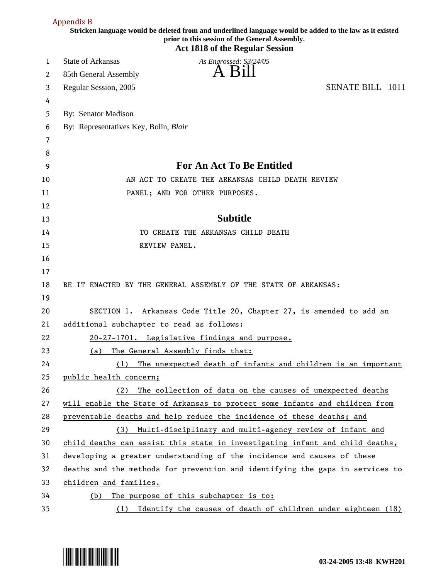|    | Appendix B                                                                                                                                                                                          |
|----|-----------------------------------------------------------------------------------------------------------------------------------------------------------------------------------------------------|
|    | Stricken language would be deleted from and underlined language would be added to the law as it existed<br>prior to this session of the General Assembly.<br><b>Act 1818 of the Regular Session</b> |
| 1  | <b>State of Arkansas</b><br>As Engrossed: S3/24/05                                                                                                                                                  |
| 2  | 85th General Assembly                                                                                                                                                                               |
| 3  | <b>SENATE BILL 1011</b><br>Regular Session, 2005                                                                                                                                                    |
| 4  |                                                                                                                                                                                                     |
| 5  | By: Senator Madison                                                                                                                                                                                 |
| 6  | By: Representatives Key, Bolin, Blair                                                                                                                                                               |
| 7  |                                                                                                                                                                                                     |
| 8  |                                                                                                                                                                                                     |
| 9  | <b>For An Act To Be Entitled</b>                                                                                                                                                                    |
| 10 | AN ACT TO CREATE THE ARKANSAS CHILD DEATH REVIEW                                                                                                                                                    |
| 11 | PANEL; AND FOR OTHER PURPOSES.                                                                                                                                                                      |
| 12 |                                                                                                                                                                                                     |
| 13 | <b>Subtitle</b>                                                                                                                                                                                     |
| 14 | TO CREATE THE ARKANSAS CHILD DEATH                                                                                                                                                                  |
| 15 | REVIEW PANEL.                                                                                                                                                                                       |
| 16 |                                                                                                                                                                                                     |
| 17 |                                                                                                                                                                                                     |
| 18 | BE IT ENACTED BY THE GENERAL ASSEMBLY OF THE STATE OF ARKANSAS:                                                                                                                                     |
| 19 |                                                                                                                                                                                                     |
| 20 | SECTION 1. Arkansas Code Title 20, Chapter 27, is amended to add an                                                                                                                                 |
| 21 | additional subchapter to read as follows:                                                                                                                                                           |
| 22 | 20-27-1701. Legislative findings and purpose.                                                                                                                                                       |
| 23 | The General Assembly finds that:<br>(a)                                                                                                                                                             |
| 24 | The unexpected death of infants and children is an important<br>(1)                                                                                                                                 |
| 25 | public health concern;                                                                                                                                                                              |
| 26 | The collection of data on the causes of unexpected deaths<br>(2)                                                                                                                                    |
| 27 | will enable the State of Arkansas to protect some infants and children from                                                                                                                         |
| 28 | preventable deaths and help reduce the incidence of these deaths; and                                                                                                                               |
| 29 | Multi-disciplinary and multi-agency review of infant and<br>(3)                                                                                                                                     |
| 30 | child deaths can assist this state in investigating infant and child deaths,                                                                                                                        |
| 31 | developing a greater understanding of the incidence and causes of these                                                                                                                             |
| 32 | deaths and the methods for prevention and identifying the gaps in services to                                                                                                                       |
| 33 | children and families.                                                                                                                                                                              |
| 34 | The purpose of this subchapter is to:<br>(b)                                                                                                                                                        |
| 35 | Identify the causes of death of children under eighteen (18)<br>(1)                                                                                                                                 |

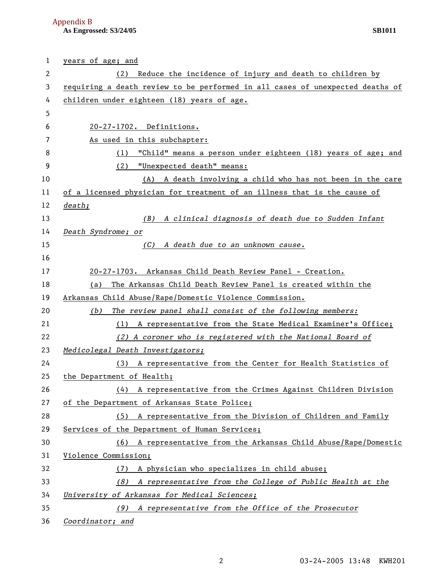**As Engrossed: S3/24/05 SB1011**  Appendix B

| 1  | years of age; and                                                             |
|----|-------------------------------------------------------------------------------|
| 2  | Reduce the incidence of injury and death to children by<br>(2)                |
| 3  | requiring a death review to be performed in all cases of unexpected deaths of |
| 4  | children under eighteen (18) years of age.                                    |
| 5  |                                                                               |
| 6  | 20-27-1702. Definitions.                                                      |
| 7  | As used in this subchapter:                                                   |
| 8  | "Child" means a person under eighteen (18) years of age; and<br>(1)           |
| 9  | "Unexpected death" means:<br>(2)                                              |
| 10 | A death involving a child who has not been in the care<br>(A)                 |
| 11 | of a licensed physician for treatment of an illness that is the cause of      |
| 12 | death;                                                                        |
| 13 | (B) A clinical diagnosis of death due to Sudden Infant                        |
| 14 | Death Syndrome; or                                                            |
| 15 | (C) A death due to an unknown cause.                                          |
| 16 |                                                                               |
| 17 | 20-27-1703. Arkansas Child Death Review Panel - Creation.                     |
| 18 | The Arkansas Child Death Review Panel is created within the<br>(a)            |
| 19 | Arkansas Child Abuse/Rape/Domestic Violence Commission.                       |
| 20 | The review panel shall consist of the following members:<br>(b)               |
| 21 | (1) A representative from the State Medical Examiner's Office;                |
| 22 | (2) A coroner who is registered with the National Board of                    |
| 23 | Medicolegal Death Investigators;                                              |
| 24 | (3) A representative from the Center for Health Statistics of                 |
| 25 | the Department of Health;                                                     |
| 26 | A representative from the Crimes Against Children Division<br>(4)             |
| 27 | of the Department of Arkansas State Police;                                   |
| 28 | A representative from the Division of Children and Family<br>(5)              |
| 29 | Services of the Department of Human Services;                                 |
| 30 | (6) A representative from the Arkansas Child Abuse/Rape/Domestic              |
| 31 | Violence Commission;                                                          |
| 32 | A physician who specializes in child abuse;<br>(1)                            |
| 33 | A representative from the College of Public Health at the<br>(8)              |
| 34 | University of Arkansas for Medical Sciences;                                  |
| 35 | A representative from the Office of the Prosecutor<br>(9)                     |
| 36 | Coordinator; and                                                              |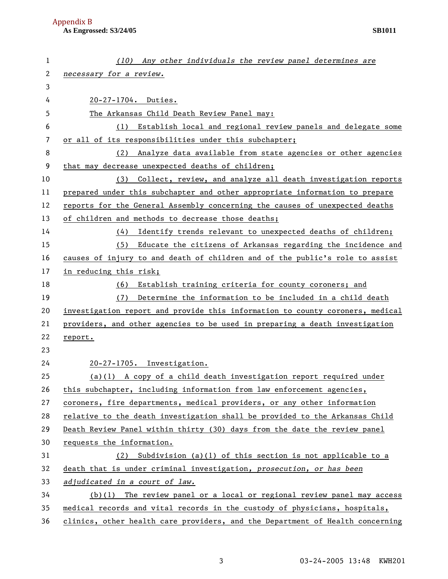| 1                     | (10) Any other individuals the review panel determines are                    |
|-----------------------|-------------------------------------------------------------------------------|
| $\mathbf{2}^{\prime}$ | necessary for a review.                                                       |
| 3                     |                                                                               |
| 4                     | 20-27-1704. Duties.                                                           |
| 5                     | The Arkansas Child Death Review Panel may:                                    |
| 6                     | Establish local and regional review panels and delegate some<br>(1)           |
| 7                     | or all of its responsibilities under this subchapter;                         |
| 8                     | Analyze data available from state agencies or other agencies<br>(2)           |
| 9                     | that may decrease unexpected deaths of children;                              |
| 10                    | (3) Collect, review, and analyze all death investigation reports              |
| 11                    | prepared under this subchapter and other appropriate information to prepare   |
| 12                    | reports for the General Assembly concerning the causes of unexpected deaths   |
| 13                    | of children and methods to decrease those deaths;                             |
| 14                    | Identify trends relevant to unexpected deaths of children;<br>(4)             |
| 15                    | Educate the citizens of Arkansas regarding the incidence and<br>(5)           |
| 16                    | causes of injury to and death of children and of the public's role to assist  |
| 17                    | in reducing this risk;                                                        |
| 18                    | Establish training criteria for county coroners; and<br>(6)                   |
| 19                    | Determine the information to be included in a child death<br>(7)              |
| 20                    | investigation report and provide this information to county coroners, medical |
| 21                    | providers, and other agencies to be used in preparing a death investigation   |
| 22                    | report.                                                                       |
| 23                    |                                                                               |
| 24                    | 20-27-1705. Investigation.                                                    |
| 25                    | $(a)(1)$ A copy of a child death investigation report required under          |
| 26                    | this subchapter, including information from law enforcement agencies,         |
| 27                    | coroners, fire departments, medical providers, or any other information       |
| 28                    | relative to the death investigation shall be provided to the Arkansas Child   |
| 29                    | Death Review Panel within thirty (30) days from the date the review panel     |
| 30                    | requests the information.                                                     |
| 31                    | Subdivision (a)(1) of this section is not applicable to a<br>(2)              |
| 32                    | death that is under criminal investigation, prosecution, or has been          |
| 33                    | adjudicated in a court of law.                                                |
| 34                    | $(b)(1)$ The review panel or a local or regional review panel may access      |
| 35                    | medical records and vital records in the custody of physicians, hospitals,    |
| 36                    | clinics, other health care providers, and the Department of Health concerning |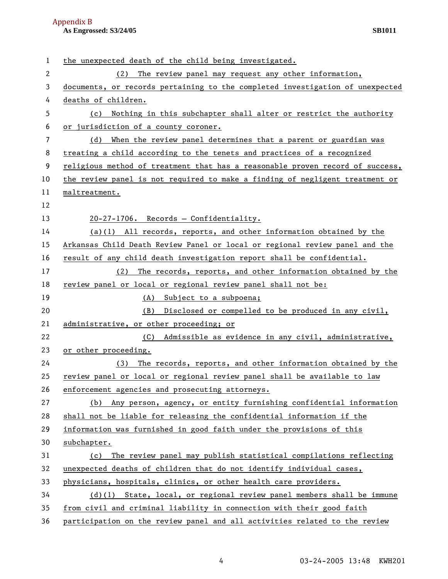## **As Engrossed: S3/24/05** SB1011 Appendix B

| 1  | the unexpected death of the child being investigated.                         |
|----|-------------------------------------------------------------------------------|
| 2  | The review panel may request any other information,<br>(2)                    |
| 3  | documents, or records pertaining to the completed investigation of unexpected |
| 4  | deaths of children.                                                           |
| 5  | Nothing in this subchapter shall alter or restrict the authority<br>(c)       |
| 6  | or jurisdiction of a county coroner.                                          |
| 7  | When the review panel determines that a parent or guardian was<br>(d)         |
| 8  | treating a child according to the tenets and practices of a recognized        |
| 9  | religious method of treatment that has a reasonable proven record of success, |
| 10 | the review panel is not required to make a finding of negligent treatment or  |
| 11 | maltreatment.                                                                 |
| 12 |                                                                               |
| 13 | 20-27-1706. Records - Confidentiality.                                        |
| 14 | $(a)(1)$ All records, reports, and other information obtained by the          |
| 15 | Arkansas Child Death Review Panel or local or regional review panel and the   |
| 16 | result of any child death investigation report shall be confidential.         |
| 17 | The records, reports, and other information obtained by the<br>(2)            |
| 18 | review panel or local or regional review panel shall not be:                  |
| 19 | (A) Subject to a subpoena;                                                    |
| 20 | Disclosed or compelled to be produced in any civil,<br>(B)                    |
| 21 | administrative, or other proceeding; or                                       |
| 22 | (C) Admissible as evidence in any civil, administrative,                      |
| 23 | or other proceeding.                                                          |
| 24 | The records, reports, and other information obtained by the<br>(3)            |
| 25 | review panel or local or regional review panel shall be available to law      |
| 26 | enforcement agencies and prosecuting attorneys.                               |
| 27 | Any person, agency, or entity furnishing confidential information<br>(b)      |
| 28 | shall not be liable for releasing the confidential information if the         |
| 29 | information was furnished in good faith under the provisions of this          |
| 30 | subchapter.                                                                   |
| 31 | The review panel may publish statistical compilations reflecting<br>(c)       |
| 32 | unexpected deaths of children that do not identify individual cases,          |
| 33 | physicians, hospitals, clinics, or other health care providers.               |
| 34 | $(d)(1)$ State, local, or regional review panel members shall be immune       |
| 35 | from civil and criminal liability in connection with their good faith         |
| 36 | participation on the review panel and all activities related to the review    |